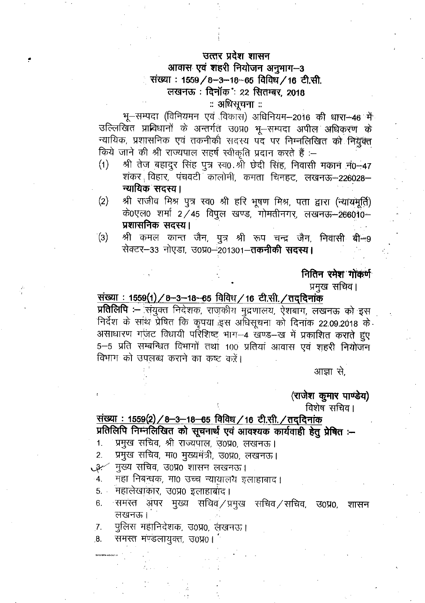## उत्तर प्रदेश शासन

## आवास एवं शहरी नियोजन अनुभाग-3 संख्या: 1559/8-3-18-65 विविध/16 टी.सी. लखनऊ: दिनॉक: 22 सितम्बर, 2018

# ः अधिसूचना ः

भू-सम्पदा (विनियमन एवं विकारा) अधिनियम-2016 की धारा-46 में उल्लिखित प्राविधानों के अन्तर्गत उ0प्र0 भू-सम्पदा अपील अधिकरण के न्यायिक, प्रशासनिक एवं तकनीकी सदस्य पद पर निम्नलिखित को नियुक्त किये जाने की श्री राज्यपाल सहर्ष स्वीकृति प्रदान करते हैं :-

- $(1)$ श्री तेज बहादुर सिंह पुत्र स्व0 श्री छेदी सिंह, निवासी मकान न0-47 शंकर विहार, पंचवटी कालोनी, कमता चिनहट, लखनऊ-226028-न्यायिक सदस्य।
- श्री राजीव मिश्र पुत्र स्व0 श्री हरि भूषण मिश्र, पता द्वारा (न्यायमूर्ति)  $(2)$ के0एल0 शर्मा 2/45 विपुल खण्ड, गोमतीनगर, लखनऊ–266010– प्रशासनिक सदस्य।
- श्री कमल कान्त जैन, पुत्र श्री रूप चन्द्र जैन, निवासी बी-9  $\dot{a}(3)$ सेक्टर-33 नोएडा, उ0प्र0-201301-तकनीकी सदस्य।

### नितिन रमेश गोंकर्ण

प्रमुख सचिव।

संख्या: 1559(1) / 8-3-18-65 विविध / 16 टी.सी. / तद्दिनांक प्रतिलिपि :- संयुक्त निदेशक, राजकीय मुद्रणालय, ऐशबाग, लखनऊ को इस निर्देश के साथ प्रेषित कि कृपया इस अधिसूचना को दिनांक 22.09.2018 के असाधारण गर्जट विधायी परिशिष्ट भाग-4 खण्ड-ख में प्रकाशित कराते हुए 5-5 प्रति सम्बन्धित विभागों तथा 100 प्रतियां आवास एवं शहरी नियोजन विभाग को उपलब्ध कराने का कष्ट करें।

आज्ञा से.

(राजेश कुमार पाण्डेय)

विशेष सचिव ।

संख्या : 1559(2) / 8-3-18-65 विविध / 16 टी.सी. / तद्दिनांक प्रतिलिपि निम्नलिखित को सूचनार्थ एवं आवश्यक कार्यवाही हेतु प्रेषित :-

- प्रमुख सचिव, श्री राज्यपाल, उ0प्र0, लखनऊ।  $1.$
- प्रमुख सचिव, मा0 मुख्यमंत्री, उ0प्र0, लखनऊ। 2.

4 मुख्य सचिव, उ0प्र0 शासन लखनऊ ।

महा निबन्धक, मा0 उच्च न्यायालय इलाहाबाद। 4.

महालेखाकार, उ०प्र० इलाहाबाद।  $5<sub>1</sub>$ 

- समस्त अपर मुख्य सचिवं⁄प्रमुख सचिवं⁄सचिव, उ0प्र0, 6. शासन लखनऊ।
- पुलिस महानिदेशक, उ०प्र०, लंखनऊ। 7.

समस्त मण्डलायुक्त, उ0प्र0।  $8.$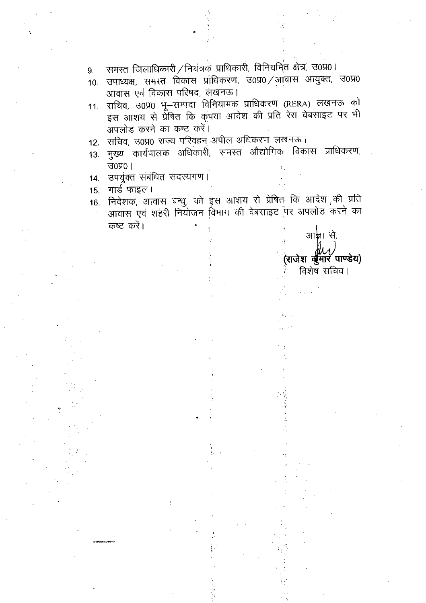- समस्त जिलाधिकारी / नियंत्रकं प्राधिकारी, विनियमित क्षेत्र, उ0प्र0।  $9.$
- उपाध्यक्ष, समस्त विकास प्राधिकरण, उ०प्र० /आवास आयुक्त, उ०प्र०  $10.$ आवास एवं विकास परिषद, लंखनऊ।
- सचिव, उ0प्र0 भू-सम्पदा विनियामक प्राधिकरण (RERA) लखनऊ को  $11.$ इस आशय से प्रेषित कि कृपया आदेश की प्रति रेरा वेबसाइट पर भी अपलोड करने का कष्ट करें।
- सचिव, उ0प्र0 राज्य परिवहन अपील अधिकरण लखनऊ।  $12.$
- मुख्य कार्यपालक अधिकारी, समस्त औद्योगिक विकास प्राधिकरण,  $13.$  $30\,001$
- उपर्युक्त संबंधित सदस्यगण।  $14.$
- गार्ड फाइल।  $15.$
- निदेशक, आवास बन्धु, को इस आशय से प्रेषित कि आदेश की प्रति  $16.$ आवास एवं शहरी नियोजन विभाग की वेबसाइट पर अपलोड करने का कष्ट करें।

आज्ञा से. (राजेश व्युँमॉर पाण्डेय) विशेष सचिव।